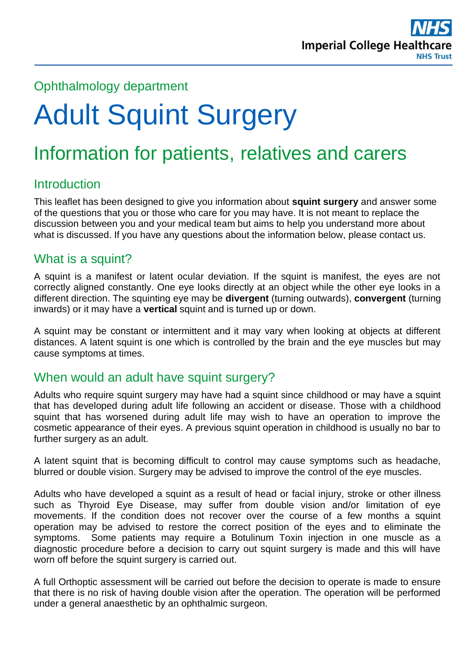

#### Ophthalmology department

# Adult Squint Surgery

# Information for patients, relatives and carers

#### **Introduction**

This leaflet has been designed to give you information about **squint surgery** and answer some of the questions that you or those who care for you may have. It is not meant to replace the discussion between you and your medical team but aims to help you understand more about what is discussed. If you have any questions about the information below, please contact us.

#### What is a squint?

A squint is a manifest or latent ocular deviation. If the squint is manifest, the eyes are not correctly aligned constantly. One eye looks directly at an object while the other eye looks in a different direction. The squinting eye may be **divergent** (turning outwards), **convergent** (turning inwards) or it may have a **vertical** squint and is turned up or down.

A squint may be constant or intermittent and it may vary when looking at objects at different distances. A latent squint is one which is controlled by the brain and the eye muscles but may cause symptoms at times.

#### When would an adult have squint surgery?

Adults who require squint surgery may have had a squint since childhood or may have a squint that has developed during adult life following an accident or disease. Those with a childhood squint that has worsened during adult life may wish to have an operation to improve the cosmetic appearance of their eyes. A previous squint operation in childhood is usually no bar to further surgery as an adult.

A latent squint that is becoming difficult to control may cause symptoms such as headache, blurred or double vision. Surgery may be advised to improve the control of the eye muscles.

Adults who have developed a squint as a result of head or facial injury, stroke or other illness such as Thyroid Eye Disease, may suffer from double vision and/or limitation of eye movements. If the condition does not recover over the course of a few months a squint operation may be advised to restore the correct position of the eyes and to eliminate the symptoms. Some patients may require a Botulinum Toxin injection in one muscle as a diagnostic procedure before a decision to carry out squint surgery is made and this will have worn off before the squint surgery is carried out.

A full Orthoptic assessment will be carried out before the decision to operate is made to ensure that there is no risk of having double vision after the operation. The operation will be performed under a general anaesthetic by an ophthalmic surgeon.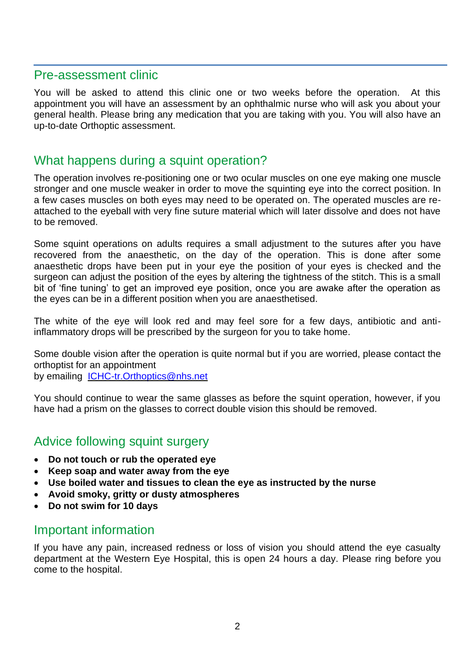#### Pre-assessment clinic

You will be asked to attend this clinic one or two weeks before the operation. At this appointment you will have an assessment by an ophthalmic nurse who will ask you about your general health. Please bring any medication that you are taking with you. You will also have an up-to-date Orthoptic assessment.

#### What happens during a squint operation?

The operation involves re-positioning one or two ocular muscles on one eye making one muscle stronger and one muscle weaker in order to move the squinting eye into the correct position. In a few cases muscles on both eyes may need to be operated on. The operated muscles are reattached to the eyeball with very fine suture material which will later dissolve and does not have to be removed.

Some squint operations on adults requires a small adjustment to the sutures after you have recovered from the anaesthetic, on the day of the operation. This is done after some anaesthetic drops have been put in your eye the position of your eyes is checked and the surgeon can adjust the position of the eyes by altering the tightness of the stitch. This is a small bit of 'fine tuning' to get an improved eye position, once you are awake after the operation as the eyes can be in a different position when you are anaesthetised.

The white of the eye will look red and may feel sore for a few days, antibiotic and antiinflammatory drops will be prescribed by the surgeon for you to take home.

Some double vision after the operation is quite normal but if you are worried, please contact the orthoptist for an appointment by emailing [ICHC-tr.Orthoptics@nhs.net](mailto:ICHC-tr.Orthoptics@nhs.net)

You should continue to wear the same glasses as before the squint operation, however, if you have had a prism on the glasses to correct double vision this should be removed.

#### Advice following squint surgery

- **Do not touch or rub the operated eye**
- **Keep soap and water away from the eye**
- **Use boiled water and tissues to clean the eye as instructed by the nurse**
- **Avoid smoky, gritty or dusty atmospheres**
- **Do not swim for 10 days**

#### Important information

If you have any pain, increased redness or loss of vision you should attend the eye casualty department at the Western Eye Hospital, this is open 24 hours a day. Please ring before you come to the hospital.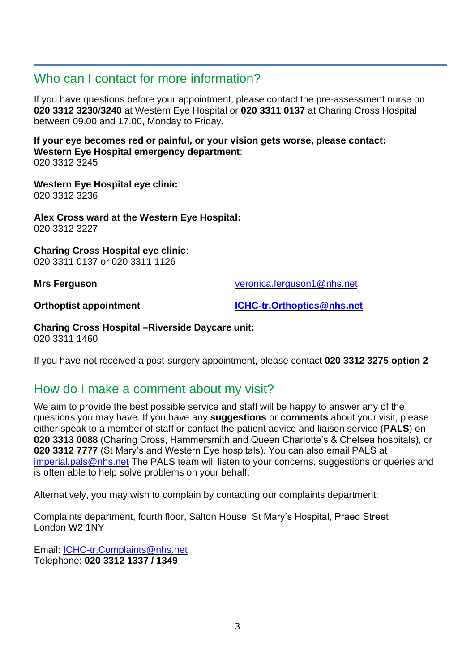#### Who can I contact for more information?

If you have questions before your appointment, please contact the pre-assessment nurse on **020 3312 3230**/**3240** at Western Eye Hospital or **020 3311 0137** at Charing Cross Hospital between 09.00 and 17.00, Monday to Friday.

**If your eye becomes red or painful, or your vision gets worse, please contact: Western Eye Hospital emergency department**: 020 3312 3245

**Western Eye Hospital eye clinic**: 020 3312 3236

**Alex Cross ward at the Western Eye Hospital:** 020 3312 3227

**Charing Cross Hospital eye clinic**: 020 3311 0137 or 020 3311 1126

**Mrs Ferguson** [veronica.ferguson1@nhs.net](mailto:veronica.ferguson1@nhs.net)

**Orthoptist appointment [ICHC-tr.Orthoptics@nhs.net](mailto:ICHC-tr.Orthoptics@nhs.net)**

**Charing Cross Hospital –Riverside Daycare unit:** 020 3311 1460

If you have not received a post-surgery appointment, please contact **020 3312 3275 option 2**

#### How do I make a comment about my visit?

We aim to provide the best possible service and staff will be happy to answer any of the questions you may have. If you have any **suggestions** or **comments** about your visit, please either speak to a member of staff or contact the patient advice and liaison service (**PALS**) on **020 3313 0088** (Charing Cross, Hammersmith and Queen Charlotte's & Chelsea hospitals), or **020 3312 7777** (St Mary's and Western Eye hospitals). You can also email PALS at [imperial.pals@nhs.net](mailto:imperial.pals@nhs.net) The PALS team will listen to your concerns, suggestions or queries and is often able to help solve problems on your behalf.

Alternatively, you may wish to complain by contacting our complaints department:

Complaints department, fourth floor, Salton House, St Mary's Hospital, Praed Street London W2 1NY

Email: [ICHC-tr.Complaints@nhs.net](mailto:ICHC-tr.Complaints@nhs.net) Telephone: **020 3312 1337 / 1349**